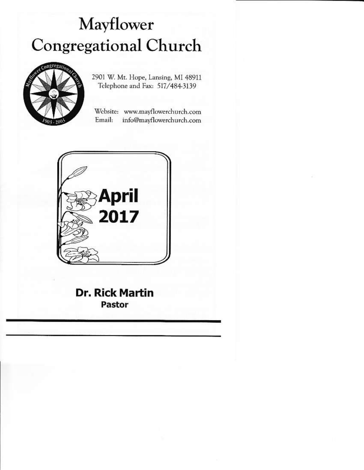# Mayflower **Congregational Church**



2901 W. Mt. Hope, Lansing, MI 48911 Telephone and Fax: 517/484-3139

Website: www.mayflowerchurch.com Email: info@mayflowerchurch.com



**Dr. Rick Martin** Pastor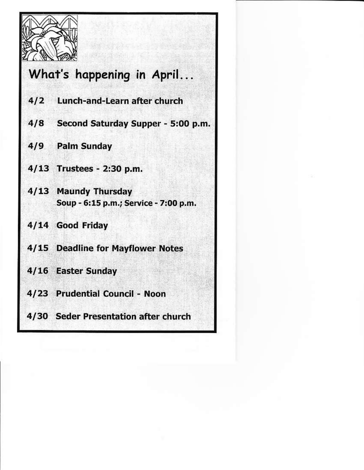

# What's happening in April...

- 412 Lunch-and-Learn after church
- 4/8 Second Saturday Supper 5:00 p.m.
- 419 Palm Sunday
- 4/13 Trustees 2:30 p.m.
- 4113 Maundy Thursday Soup - 6115 p.m-; Service - 7:0O p.m.
- 4/14 Good Friday
- 4/15 Deadline for Mayflower Notes
- 4/16 Easter Sunday
- 4/23 Prudential Council Noon
- 4/30 Seder Presentation after church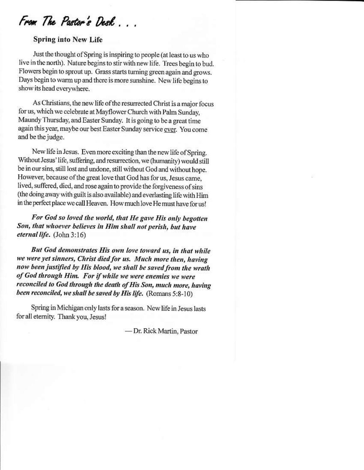From The Pastor's Desk...

#### **Spring into New Life**

Just the thought of Spring is inspiring to people (at least to us who live in the north). Nature begins to stir with new life. Trees begin to bud. Flowers begin to sprout up. Grass starts turning green again and grows. Days begin to warm up and there is more sunshine. New life begins to show its head everywhere.

As Christians, the new life of the resurrected Christ is a major focus for us, which we celebrate at Mayflower Church with Palm Sunday, Maundy Thursday, and Easter Sunday. It is going to be a great time again this year, maybe our best Easter Sunday service ever. You come and be the judge.

New life in Jesus. Even more exciting than the new life of Spring. Without Jesus' life, suffering, and resurrection, we (humanity) would still be in our sins, still lost and undone, still without God and without hope. However, because of the great love that God has for us, Jesus came, lived, suffered, died, and rose again to provide the forgiveness of sins (the doing away with guilt is also available) and everlasting life with Him in the perfect place we call Heaven. How much love He must have for us!

For God so loved the world, that He gave His only begotten Son, that whoever believes in Him shall not perish, but have eternal life. (John 3:16)

But God demonstrates His own love toward us, in that while we were yet sinners, Christ died for us. Much more then, having now been justified by His blood, we shall be saved from the wrath of God through Him. For if while we were enemies we were reconciled to God through the death of His Son, much more, having been reconciled, we shall be saved by His life. (Romans 5:8-10)

Spring in Michigan only lasts for a season. New life in Jesus lasts for all eternity. Thank you, Jesus!

-Dr. Rick Martin, Pastor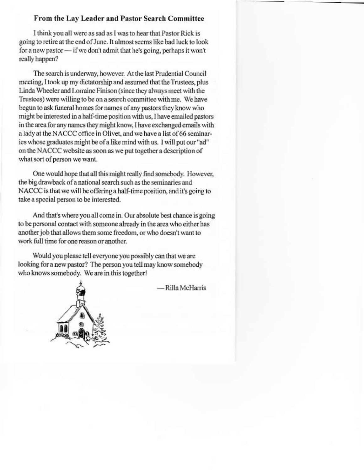#### From the Lay Leader and Pastor Search Committee

I think you all were as sad as I was to hear that Pastor Rick is going to retire at the end of June. It almost seems like bad luck to look for a new pastor — if we don't admit that he's going, perhaps it won't really happen?

The search is underway, however. At the last Prudential Council meeting, I took up my dictatorship and assumed that the Trustees, plus Linda Wheeler and Lorraine Finison (since they always meet with the Trustees) were willing to be on a search committee with me. We have begun to ask funeral homes for names of any pastors they know who might be interested in a half-time position with us, I have emailed pastors in the area for any names they might know, I have exchanged emails with a lady at the NACCC office in Olivet, and we have a list of 66 seminaries whose graduates might be of a like mind with us. I will put our "ad" on the NACCC website as soon as we put together a description of what sort of person we want.

One would hope that all this might really find somebody. However, the big drawback of a national search such as the seminaries and NACCC is that we will be offering a half-time position, and it's going to take a special person to be interested.

And that's where you all come in. Our absolute best chance is going to be personal contact with someone already in the area who either has another job that allows them some freedom, or who doesn't want to work full time for one reason or another.

Would you please tell everyone you possibly can that we are looking for a new pastor? The person you tell may know somebody who knows somebody. We are in this together!

- Rilla McHarris

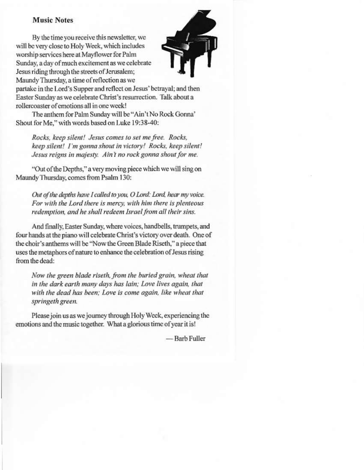#### **Music Notes**

By the time you receive this newsletter, we will be very close to Holy Week, which includes worship services here at Mayflower for Palm Sunday, a day of much excitement as we celebrate Jesus riding through the streets of Jerusalem; Maundy Thursday, a time of reflection as we



partake in the Lord's Supper and reflect on Jesus' betrayal; and then Easter Sunday as we celebrate Christ's resurrection. Talk about a rollercoaster of emotions all in one week!

The anthem for Palm Sunday will be "Ain't No Rock Gonna" Shout for Me," with words based on Luke 19:38-40:

Rocks, keep silent! Jesus comes to set me free. Rocks, keep silent! I'm gonna shout in victory! Rocks, keep silent! Jesus reigns in majesty. Ain't no rock gonna shout for me.

"Out of the Depths," a very moving piece which we will sing on Maundy Thursday, comes from Psalm 130:

Out of the depths have I called to you, O Lord: Lord, hear my voice. For with the Lord there is mercy, with him there is plenteous redemption, and he shall redeem Israel from all their sins.

And finally, Easter Sunday, where voices, handbells, trumpets, and four hands at the piano will celebrate Christ's victory over death. One of the choir's anthems will be "Now the Green Blade Riseth," a piece that uses the metaphors of nature to enhance the celebration of Jesus rising from the dead:

Now the green blade riseth, from the buried grain, wheat that in the dark earth many days has lain; Love lives again, that with the dead has been; Love is come again, like wheat that springeth green.

Please join us as we journey through Holy Week, experiencing the emotions and the music together. What a glorious time of year it is!

— Barb Fuller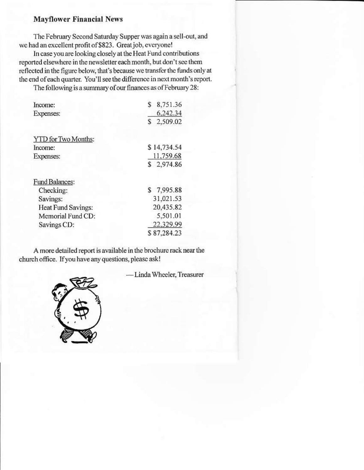#### **Mayflower Financial News**

The February Second Saturday Supper was again a sell-out, and we had an excellent profit of \$823. Great job, everyone!

In case you are looking closely at the Heat Fund contributions reported elsewhere in the newsletter each month, but don't see them reflected in the figure below, that's because we transfer the funds only at the end of each quarter. You'll see the difference in next month's report.

The following is a summary of our finances as of February 28:

| Income:                    | \$<br>8,751.36 |
|----------------------------|----------------|
| Expenses:                  | 6,242.34       |
|                            | \$2,509.02     |
| <b>YTD</b> for Two Months: |                |
| Income:                    | \$14,734.54    |
| Expenses:                  | 11,759.68      |
|                            | \$2,974.86     |
| Fund Balances:             |                |
| Checking:                  | \$7,995.88     |
| Savings:                   | 31,021.53      |
| Heat Fund Savings:         | 20,435.82      |
| Memorial Fund CD:          | 5,501.01       |
| Savings CD:                | 22,329.99      |
|                            | \$87,284.23    |

A more detailed report is available in the brochure rack near the church office. If you have any questions, please ask!

- Linda Wheeler, Treasurer

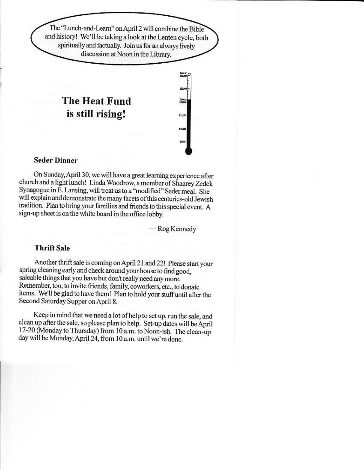The "Lunch-and-Learn" on April 2 will combine the Bible and history! We'll be taking a look at the Lenten cycle, both spiritually and factually. Join us for an always lively discussion at Noon in the Library.

### The Heat Fund is still rising!



#### **Seder Dinner**

On Sunday, April 30, we will have a great learning experience after church and a light lunch! Linda Woodrow, a member of Shaarey Zedek Synagogue in E. Lansing, will treat us to a "modified" Seder meal. She will explain and demonstrate the many facets of this centuries-old Jewish tradition. Plan to bring your families and friends to this special event. A sign-up sheet is on the white board in the office lobby.

- Rog Kennedy

#### **Thrift Sale**

Another thrift sale is coming on April 21 and 22! Please start your spring cleaning early and check around your house to find good, saleable things that you have but don't really need any more. Remember, too, to invite friends, family, coworkers, etc., to donate items. We'll be glad to have them! Plan to hold your stuff until after the Second Saturday Supper on April 8.

Keep in mind that we need a lot of help to set up, run the sale, and clean up after the sale, so please plan to help. Set-up dates will be April 17-20 (Monday to Thursday) from 10 a.m. to Noon-ish. The clean-up day will be Monday, April 24, from 10 a.m. until we're done.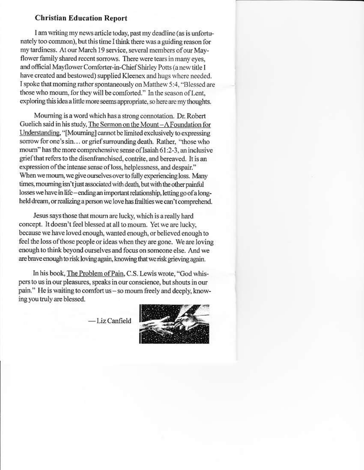#### **Christian Education Report**

I am writing my news article today, past my deadline (as is unfortunately too common), but this time I think there was a guiding reason for my tardiness. At our March 19 service, several members of our Mayflower family shared recent sorrows. There were tears in many eyes, and official Mayflower Comforter-in-Chief Shirley Potts (a new title I have created and bestowed) supplied Kleenex and hugs where needed. I spoke that morning rather spontaneously on Matthew 5:4, "Blessed are those who mourn, for they will be comforted." In the season of Lent, exploring this idea a little more seems appropriate, so here are my thoughts.

Mourning is a word which has a strong connotation. Dr. Robert Guelich said in his study, The Sermon on the Mount-A Foundation for Understanding, "[Mourning] cannot be limited exclusively to expressing sorrow for one's sin... or grief surrounding death. Rather, "those who mourn" has the more comprehensive sense of Isaiah 61:2-3, an inclusive grief that refers to the disenfranchised, contrite, and bereaved. It is an expression of the intense sense of loss, helplessness, and despair." When we mourn, we give ourselves over to fully experiencing loss. Many times, mourning isn't just associated with death, but with the other painful losses we have in life-ending an important relationship, letting go of a longheld dream, or realizing a person we love has frailties we can't comprehend.

Jesus says those that mourn are lucky, which is a really hard concept. It doesn't feel blessed at all to mourn. Yet we are lucky. because we have loved enough, wanted enough, or believed enough to feel the loss of those people or ideas when they are gone. We are loving enough to think beyond ourselves and focus on someone else. And we are brave enough to risk loving again, knowing that we risk grieving again.

In his book, The Problem of Pain, C.S. Lewis wrote, "God whispers to us in our pleasures, speaks in our conscience, but shouts in our pain." He is waiting to comfort us - so mourn freely and deeply, knowing you truly are blessed.

 $-$ Liz Canfield